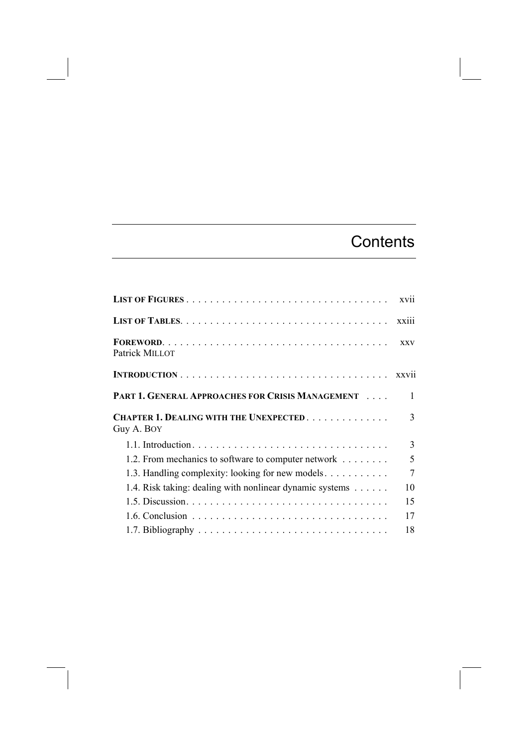## **Contents**

|                                                             | xvii           |
|-------------------------------------------------------------|----------------|
|                                                             | xxiii          |
| Patrick MILLOT                                              | <b>XXV</b>     |
|                                                             |                |
| PART 1. GENERAL APPROACHES FOR CRISIS MANAGEMENT            | 1              |
| <b>CHAPTER 1. DEALING WITH THE UNEXPECTED</b><br>Guy A. BOY | 3              |
|                                                             | 3              |
| 1.2. From mechanics to software to computer network         | 5              |
| 1.3. Handling complexity: looking for new models            | $\overline{7}$ |
| 1.4. Risk taking: dealing with nonlinear dynamic systems    | 10             |
|                                                             | 15             |
|                                                             | 17             |
|                                                             | 18             |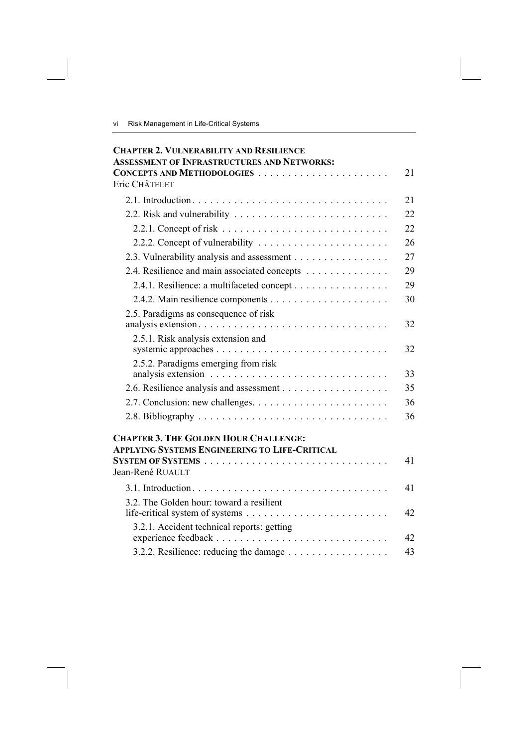vi Risk Management in Life-Critical Systems

| <b>CHAPTER 2. VULNERABILITY AND RESILIENCE</b>                                        |    |
|---------------------------------------------------------------------------------------|----|
| <b>ASSESSMENT OF INFRASTRUCTURES AND NETWORKS:</b>                                    |    |
| Eric CHÂTELET                                                                         | 21 |
|                                                                                       |    |
|                                                                                       | 21 |
| 2.2. Risk and vulnerability $\ldots \ldots \ldots \ldots \ldots \ldots \ldots \ldots$ | 22 |
|                                                                                       | 22 |
|                                                                                       | 26 |
| 2.3. Vulnerability analysis and assessment                                            | 27 |
| 2.4. Resilience and main associated concepts                                          | 29 |
| 2.4.1. Resilience: a multifaceted concept                                             | 29 |
|                                                                                       | 30 |
| 2.5. Paradigms as consequence of risk                                                 |    |
|                                                                                       | 32 |
| 2.5.1. Risk analysis extension and                                                    | 32 |
| 2.5.2. Paradigms emerging from risk                                                   |    |
|                                                                                       | 33 |
|                                                                                       | 35 |
|                                                                                       | 36 |
|                                                                                       | 36 |
| <b>CHAPTER 3. THE GOLDEN HOUR CHALLENGE:</b>                                          |    |
| <b>APPLYING SYSTEMS ENGINEERING TO LIFE-CRITICAL</b>                                  |    |
|                                                                                       | 41 |
| Jean-René RUAULT                                                                      |    |
|                                                                                       | 41 |
| 3.2. The Golden hour: toward a resilient                                              | 42 |
| 3.2.1. Accident technical reports: getting                                            | 42 |
|                                                                                       | 43 |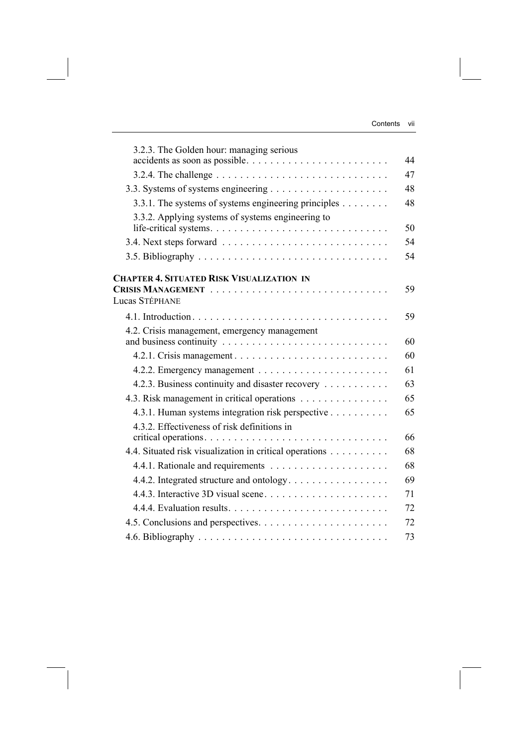| 3.2.3. The Golden hour: managing serious<br>accidents as soon as possible | 44 |
|---------------------------------------------------------------------------|----|
|                                                                           | 47 |
|                                                                           | 48 |
| 3.3.1. The systems of systems engineering principles $\dots \dots$        | 48 |
| 3.3.2. Applying systems of systems engineering to                         | 50 |
|                                                                           | 54 |
|                                                                           | 54 |
| <b>CHAPTER 4. SITUATED RISK VISUALIZATION IN</b>                          |    |
| Lucas Stéphane                                                            | 59 |
|                                                                           | 59 |
| 4.2. Crisis management, emergency management                              | 60 |
|                                                                           | 60 |
|                                                                           | 61 |
| 4.2.3. Business continuity and disaster recovery                          | 63 |
| 4.3. Risk management in critical operations                               | 65 |
| 4.3.1. Human systems integration risk perspective                         | 65 |
| 4.3.2. Effectiveness of risk definitions in                               |    |
|                                                                           | 66 |
| 4.4. Situated risk visualization in critical operations                   | 68 |
|                                                                           | 68 |
| 4.4.2. Integrated structure and ontology                                  | 69 |
| 4.4.3. Interactive 3D visual scene                                        | 71 |
|                                                                           | 72 |
|                                                                           | 72 |
|                                                                           | 73 |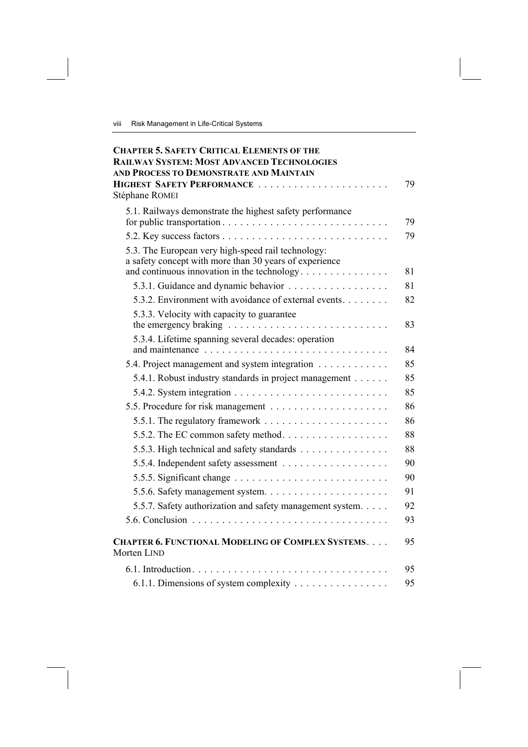| <b>CHAPTER 5. SAFETY CRITICAL ELEMENTS OF THE</b><br><b>RAILWAY SYSTEM: MOST ADVANCED TECHNOLOGIES</b><br>AND PROCESS TO DEMONSTRATE AND MAINTAIN           |    |
|-------------------------------------------------------------------------------------------------------------------------------------------------------------|----|
| HIGHEST SAFETY PERFORMANCE                                                                                                                                  | 79 |
| Stéphane ROMEI                                                                                                                                              |    |
| 5.1. Railways demonstrate the highest safety performance                                                                                                    | 79 |
|                                                                                                                                                             | 79 |
| 5.3. The European very high-speed rail technology:<br>a safety concept with more than 30 years of experience<br>and continuous innovation in the technology | 81 |
| 5.3.1. Guidance and dynamic behavior                                                                                                                        | 81 |
| 5.3.2. Environment with avoidance of external events.                                                                                                       | 82 |
| 5.3.3. Velocity with capacity to guarantee                                                                                                                  | 83 |
| 5.3.4. Lifetime spanning several decades: operation                                                                                                         | 84 |
| 5.4. Project management and system integration                                                                                                              | 85 |
| 5.4.1. Robust industry standards in project management                                                                                                      | 85 |
|                                                                                                                                                             | 85 |
|                                                                                                                                                             | 86 |
|                                                                                                                                                             | 86 |
| 5.5.2. The EC common safety method.                                                                                                                         | 88 |
| 5.5.3. High technical and safety standards                                                                                                                  | 88 |
|                                                                                                                                                             | 90 |
|                                                                                                                                                             | 90 |
|                                                                                                                                                             | 91 |
| 5.5.7. Safety authorization and safety management system.                                                                                                   | 92 |
|                                                                                                                                                             | 93 |
| <b>CHAPTER 6. FUNCTIONAL MODELING OF COMPLEX SYSTEMS</b><br>Morten LIND                                                                                     | 95 |
|                                                                                                                                                             | 95 |
| 6.1.1. Dimensions of system complexity                                                                                                                      | 95 |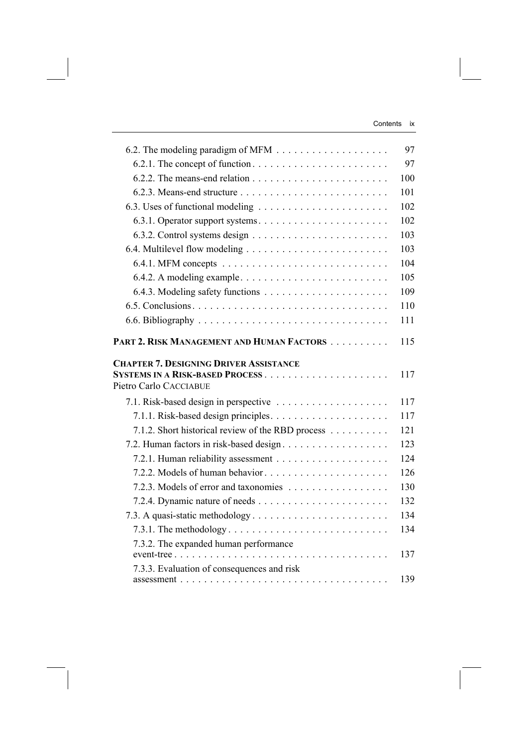|                                                                                                                      | 97         |
|----------------------------------------------------------------------------------------------------------------------|------------|
|                                                                                                                      | 97         |
|                                                                                                                      | 100        |
|                                                                                                                      | 101        |
|                                                                                                                      | 102        |
| 6.3.1. Operator support systems                                                                                      | 102        |
|                                                                                                                      | 103        |
|                                                                                                                      | 103        |
|                                                                                                                      | 104        |
| 6.4.2. A modeling example                                                                                            | 105        |
|                                                                                                                      | 109        |
|                                                                                                                      | 110        |
|                                                                                                                      | 111        |
| PART 2. RISK MANAGEMENT AND HUMAN FACTORS<br><b>CHAPTER 7. DESIGNING DRIVER ASSISTANCE</b><br>Pietro Carlo CACCIABUE | 115<br>117 |
| 7.1. Risk-based design in perspective                                                                                | 117        |
|                                                                                                                      | 117        |
| 7.1.2. Short historical review of the RBD process                                                                    | 121        |
|                                                                                                                      | 123        |
|                                                                                                                      | 124        |
| 7.2.2. Models of human behavior                                                                                      | 126        |
|                                                                                                                      | 130        |
|                                                                                                                      |            |
|                                                                                                                      |            |
|                                                                                                                      | 132        |
|                                                                                                                      | 134        |
| 7.3.2. The expanded human performance                                                                                | 134<br>137 |
| 7.3.3. Evaluation of consequences and risk                                                                           |            |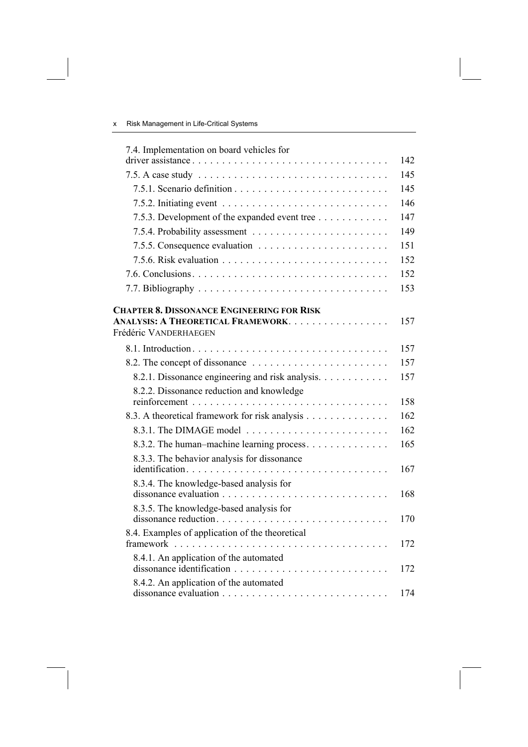| 7.4. Implementation on board vehicles for<br>driver assistance                                                   | 142 |
|------------------------------------------------------------------------------------------------------------------|-----|
|                                                                                                                  | 145 |
|                                                                                                                  | 145 |
|                                                                                                                  | 146 |
| 7.5.3. Development of the expanded event tree                                                                    | 147 |
|                                                                                                                  | 149 |
|                                                                                                                  | 151 |
|                                                                                                                  | 152 |
|                                                                                                                  | 152 |
|                                                                                                                  | 153 |
| <b>CHAPTER 8. DISSONANCE ENGINEERING FOR RISK</b><br>ANALYSIS: A THEORETICAL FRAMEWORK.<br>Frédéric VANDERHAEGEN | 157 |
|                                                                                                                  | 157 |
|                                                                                                                  | 157 |
| 8.2.1. Dissonance engineering and risk analysis.                                                                 | 157 |
| 8.2.2. Dissonance reduction and knowledge                                                                        | 158 |
| 8.3. A theoretical framework for risk analysis                                                                   | 162 |
|                                                                                                                  | 162 |
| 8.3.2. The human-machine learning process.                                                                       | 165 |
| 8.3.3. The behavior analysis for dissonance                                                                      | 167 |
| 8.3.4. The knowledge-based analysis for                                                                          | 168 |
| 8.3.5. The knowledge-based analysis for                                                                          | 170 |
| 8.4. Examples of application of the theoretical                                                                  | 172 |
| 8.4.1. An application of the automated<br>dissonance identification                                              | 172 |
| 8.4.2. An application of the automated                                                                           | 174 |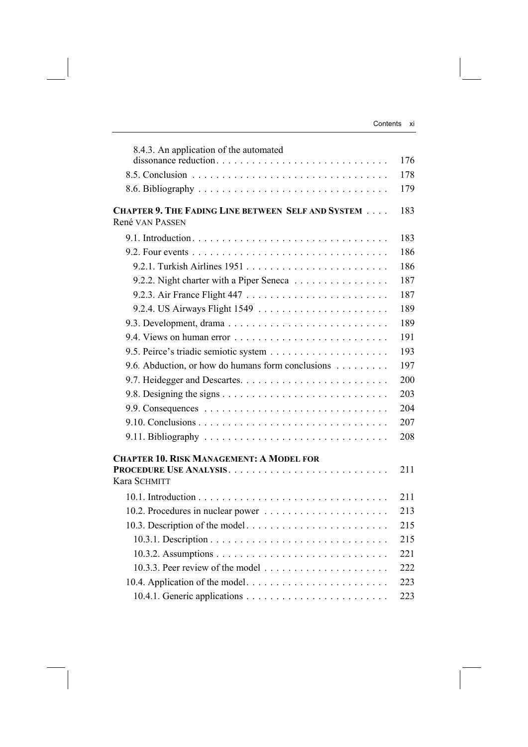| 8.4.3. An application of the automated                                        | 176 |
|-------------------------------------------------------------------------------|-----|
|                                                                               | 178 |
|                                                                               | 179 |
| <b>CHAPTER 9. THE FADING LINE BETWEEN SELF AND SYSTEM </b><br>René VAN PASSEN | 183 |
|                                                                               | 183 |
|                                                                               | 186 |
|                                                                               | 186 |
| 9.2.2. Night charter with a Piper Seneca                                      | 187 |
|                                                                               | 187 |
|                                                                               | 189 |
|                                                                               | 189 |
|                                                                               | 191 |
|                                                                               | 193 |
| 9.6. Abduction, or how do humans form conclusions                             | 197 |
|                                                                               | 200 |
|                                                                               | 203 |
|                                                                               | 204 |
|                                                                               | 207 |
|                                                                               | 208 |
| <b>CHAPTER 10. RISK MANAGEMENT: A MODEL FOR</b>                               |     |
| Kara SCHMITT                                                                  | 211 |
|                                                                               | 211 |
|                                                                               | 213 |
|                                                                               | 215 |
|                                                                               | 215 |
|                                                                               | 221 |
|                                                                               | 222 |
| 10.4. Application of the model                                                | 223 |
|                                                                               | 223 |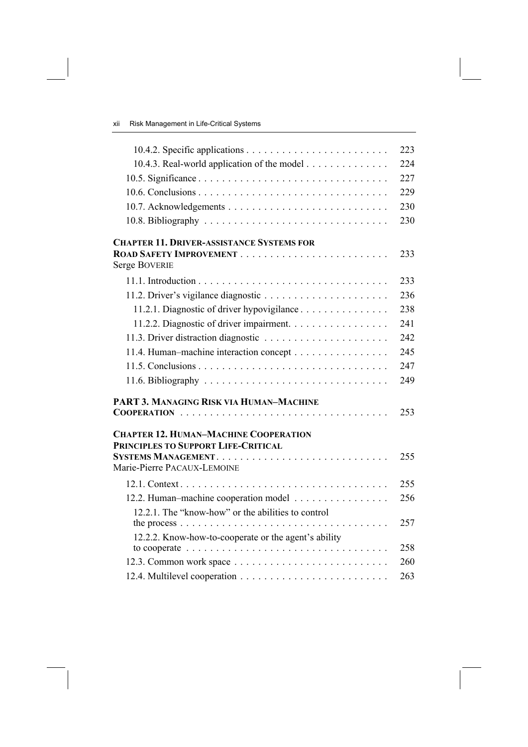|                                                                                                    | 223 |
|----------------------------------------------------------------------------------------------------|-----|
| 10.4.3. Real-world application of the model                                                        | 224 |
|                                                                                                    | 227 |
|                                                                                                    | 229 |
|                                                                                                    | 230 |
|                                                                                                    | 230 |
| <b>CHAPTER 11. DRIVER-ASSISTANCE SYSTEMS FOR</b>                                                   |     |
| <b>Serge BOVERIE</b>                                                                               | 233 |
|                                                                                                    | 233 |
|                                                                                                    | 236 |
| 11.2.1. Diagnostic of driver hypovigilance                                                         | 238 |
| 11.2.2. Diagnostic of driver impairment.                                                           | 241 |
|                                                                                                    | 242 |
| 11.4. Human-machine interaction concept                                                            | 245 |
|                                                                                                    | 247 |
|                                                                                                    | 249 |
| PART 3. MANAGING RISK VIA HUMAN-MACHINE                                                            |     |
|                                                                                                    | 253 |
| <b>CHAPTER 12. HUMAN-MACHINE COOPERATION</b><br>PRINCIPLES TO SUPPORT LIFE-CRITICAL                |     |
| Marie-Pierre PACAUX-LEMOINE                                                                        | 255 |
|                                                                                                    | 255 |
| 12.2. Human-machine cooperation model                                                              | 256 |
| 12.2.1. The "know-how" or the abilities to control                                                 | 257 |
| 12.2.2. Know-how-to-cooperate or the agent's ability                                               |     |
| to cooperate $\ldots \ldots \ldots \ldots \ldots \ldots \ldots \ldots \ldots \ldots \ldots \ldots$ | 258 |
|                                                                                                    | 260 |
|                                                                                                    | 263 |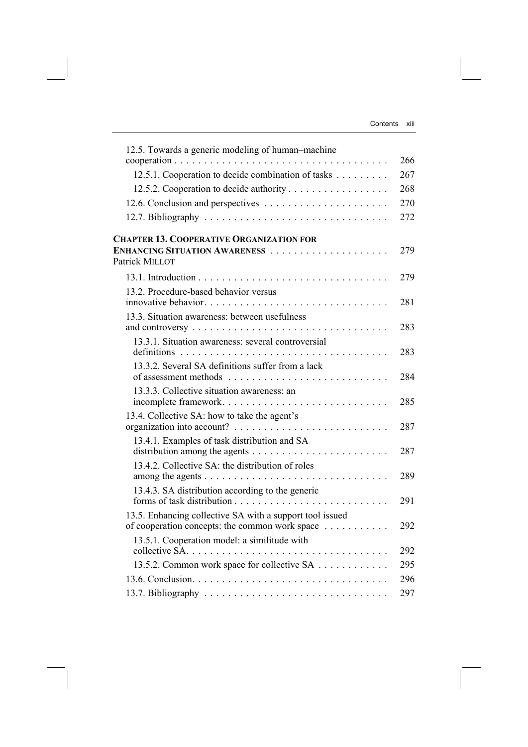| 12.5. Towards a generic modeling of human-machine                                                          | 266 |
|------------------------------------------------------------------------------------------------------------|-----|
| 12.5.1. Cooperation to decide combination of tasks                                                         | 267 |
| 12.5.2. Cooperation to decide authority                                                                    | 268 |
|                                                                                                            | 270 |
|                                                                                                            | 272 |
| <b>CHAPTER 13. COOPERATIVE ORGANIZATION FOR</b><br>Patrick MILLOT                                          | 279 |
|                                                                                                            | 279 |
| 13.2. Procedure-based behavior versus                                                                      | 281 |
| 13.3. Situation awareness: between usefulness                                                              | 283 |
| 13.3.1. Situation awareness: several controversial                                                         | 283 |
| 13.3.2. Several SA definitions suffer from a lack                                                          | 284 |
| 13.3.3. Collective situation awareness: an<br>incomplete framework                                         | 285 |
| 13.4. Collective SA: how to take the agent's                                                               | 287 |
| 13.4.1. Examples of task distribution and SA                                                               | 287 |
| 13.4.2. Collective SA: the distribution of roles                                                           | 289 |
| 13.4.3. SA distribution according to the generic                                                           | 291 |
| 13.5. Enhancing collective SA with a support tool issued<br>of cooperation concepts: the common work space | 292 |
| 13.5.1. Cooperation model: a similitude with                                                               | 292 |
| 13.5.2. Common work space for collective SA                                                                | 295 |
|                                                                                                            | 296 |
|                                                                                                            | 297 |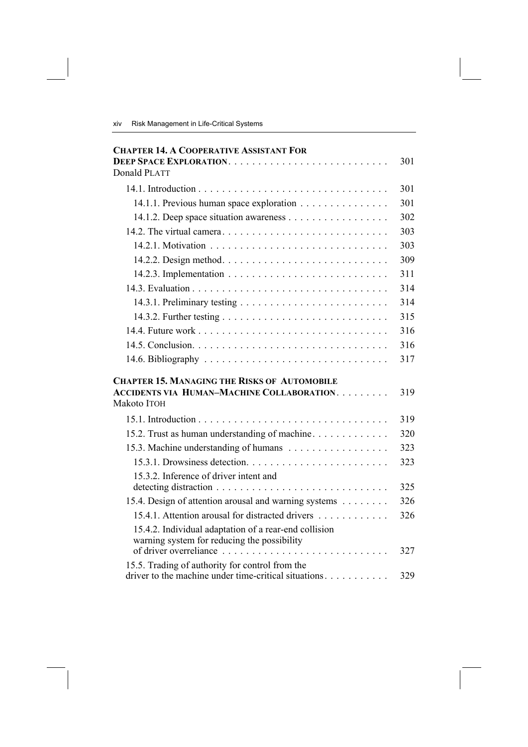| <b>CHAPTER 14. A COOPERATIVE ASSISTANT FOR</b>                                                          |     |
|---------------------------------------------------------------------------------------------------------|-----|
|                                                                                                         | 301 |
| <b>Donald PLATT</b>                                                                                     |     |
|                                                                                                         | 301 |
| 14.1.1. Previous human space exploration                                                                | 301 |
| 14.1.2. Deep space situation awareness                                                                  | 302 |
|                                                                                                         | 303 |
|                                                                                                         | 303 |
|                                                                                                         | 309 |
|                                                                                                         | 311 |
|                                                                                                         | 314 |
|                                                                                                         | 314 |
|                                                                                                         | 315 |
|                                                                                                         | 316 |
|                                                                                                         | 316 |
|                                                                                                         | 317 |
| <b>CHAPTER 15. MANAGING THE RISKS OF AUTOMOBILE</b>                                                     |     |
| <b>ACCIDENTS VIA HUMAN-MACHINE COLLABORATION</b><br>Makoto ITOH                                         | 319 |
|                                                                                                         | 319 |
| 15.2. Trust as human understanding of machine.                                                          | 320 |
| 15.3. Machine understanding of humans                                                                   | 323 |
|                                                                                                         | 323 |
| 15.3.2. Inference of driver intent and                                                                  | 325 |
| 15.4. Design of attention arousal and warning systems                                                   | 326 |
| 15.4.1. Attention arousal for distracted drivers                                                        | 326 |
| 15.4.2. Individual adaptation of a rear-end collision<br>warning system for reducing the possibility    |     |
| of driver overreliance                                                                                  | 327 |
| 15.5. Trading of authority for control from the<br>driver to the machine under time-critical situations | 329 |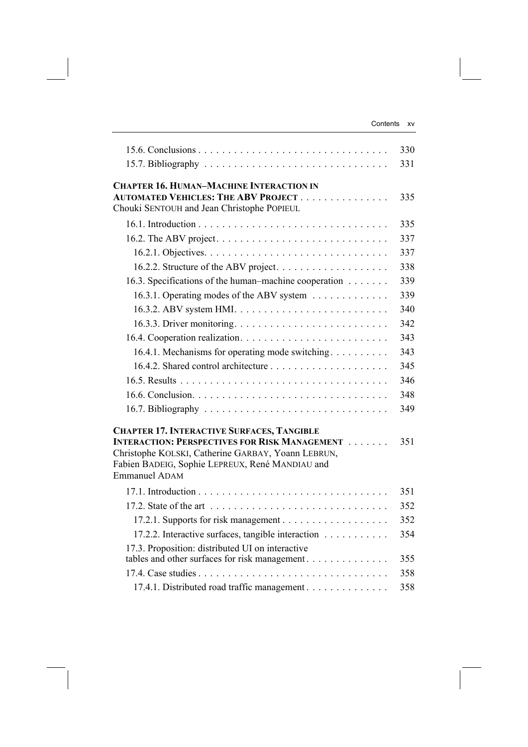|                                                                                                       | 330 |
|-------------------------------------------------------------------------------------------------------|-----|
|                                                                                                       | 331 |
| <b>CHAPTER 16. HUMAN-MACHINE INTERACTION IN</b>                                                       |     |
| <b>AUTOMATED VEHICLES: THE ABV PROJECT</b>                                                            | 335 |
| Chouki SENTOUH and Jean Christophe POPIEUL                                                            |     |
|                                                                                                       | 335 |
|                                                                                                       | 337 |
|                                                                                                       | 337 |
|                                                                                                       | 338 |
| 16.3. Specifications of the human–machine cooperation                                                 | 339 |
| 16.3.1. Operating modes of the ABV system                                                             | 339 |
|                                                                                                       | 340 |
|                                                                                                       | 342 |
|                                                                                                       | 343 |
| 16.4.1. Mechanisms for operating mode switching                                                       | 343 |
|                                                                                                       | 345 |
|                                                                                                       | 346 |
|                                                                                                       | 348 |
|                                                                                                       | 349 |
| <b>CHAPTER 17. INTERACTIVE SURFACES, TANGIBLE</b>                                                     |     |
| <b>INTERACTION: PERSPECTIVES FOR RISK MANAGEMENT</b>                                                  | 351 |
| Christophe KOLSKI, Catherine GARBAY, Yoann LEBRUN,<br>Fabien BADEIG, Sophie LEPREUX, René MANDIAU and |     |
| <b>Emmanuel ADAM</b>                                                                                  |     |
|                                                                                                       | 351 |
|                                                                                                       | 352 |
|                                                                                                       | 352 |
| 17.2.2. Interactive surfaces, tangible interaction                                                    | 354 |
| 17.3. Proposition: distributed UI on interactive                                                      |     |
| tables and other surfaces for risk management                                                         | 355 |
|                                                                                                       | 358 |
| 17.4.1. Distributed road traffic management                                                           | 358 |